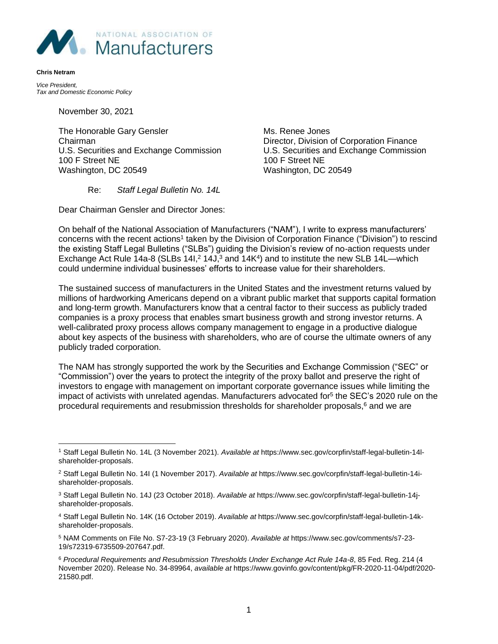

*Vice President, Tax and Domestic Economic Policy* 

**Chris Netram**

November 30, 2021

The Honorable Gary Gensler Mus. Renee Jones Chairman Director, Division of Corporation Finance U.S. Securities and Exchange Commission U.S. Securities and Exchange Commission 100 F Street NE 100 F Street NE Washington, DC 20549 Washington, DC 20549

Re: *Staff Legal Bulletin No. 14L*

Dear Chairman Gensler and Director Jones:

On behalf of the National Association of Manufacturers ("NAM"), I write to express manufacturers' concerns with the recent actions<sup>1</sup> taken by the Division of Corporation Finance ("Division") to rescind the existing Staff Legal Bulletins ("SLBs") guiding the Division's review of no-action requests under Exchange Act Rule 14a-8 (SLBs 141,<sup>2</sup> 14J,<sup>3</sup> and 14K<sup>4</sup>) and to institute the new SLB 14L—which could undermine individual businesses' efforts to increase value for their shareholders.

The sustained success of manufacturers in the United States and the investment returns valued by millions of hardworking Americans depend on a vibrant public market that supports capital formation and long-term growth. Manufacturers know that a central factor to their success as publicly traded companies is a proxy process that enables smart business growth and strong investor returns. A well-calibrated proxy process allows company management to engage in a productive dialogue about key aspects of the business with shareholders, who are of course the ultimate owners of any publicly traded corporation.

The NAM has strongly supported the work by the Securities and Exchange Commission ("SEC" or "Commission") over the years to protect the integrity of the proxy ballot and preserve the right of investors to engage with management on important corporate governance issues while limiting the impact of activists with unrelated agendas. Manufacturers advocated for<sup>5</sup> the SEC's 2020 rule on the procedural requirements and resubmission thresholds for shareholder proposals, <sup>6</sup> and we are

<sup>1</sup> Staff Legal Bulletin No. 14L (3 November 2021). *Available at* https://www.sec.gov/corpfin/staff-legal-bulletin-14lshareholder-proposals.

<sup>2</sup> Staff Legal Bulletin No. 14I (1 November 2017). *Available at* https://www.sec.gov/corpfin/staff-legal-bulletin-14ishareholder-proposals.

<sup>3</sup> Staff Legal Bulletin No. 14J (23 October 2018). *Available at* https://www.sec.gov/corpfin/staff-legal-bulletin-14jshareholder-proposals.

<sup>4</sup> Staff Legal Bulletin No. 14K (16 October 2019). *Available at* https://www.sec.gov/corpfin/staff-legal-bulletin-14kshareholder-proposals.

<sup>5</sup> NAM Comments on File No. S7-23-19 (3 February 2020). *Available at* https://www.sec.gov/comments/s7-23- 19/s72319-6735509-207647.pdf.

<sup>6</sup> *Procedural Requirements and Resubmission Thresholds Under Exchange Act Rule 14a-8*, 85 Fed. Reg. 214 (4 November 2020). Release No. 34-89964, *available at* https://www.govinfo.gov/content/pkg/FR-2020-11-04/pdf/2020- 21580.pdf.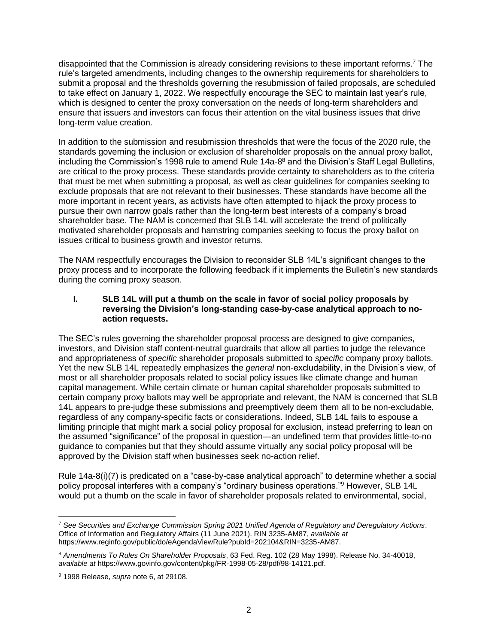disappointed that the Commission is already considering revisions to these important reforms.<sup>7</sup> The rule's targeted amendments, including changes to the ownership requirements for shareholders to submit a proposal and the thresholds governing the resubmission of failed proposals, are scheduled to take effect on January 1, 2022. We respectfully encourage the SEC to maintain last year's rule, which is designed to center the proxy conversation on the needs of long-term shareholders and ensure that issuers and investors can focus their attention on the vital business issues that drive long-term value creation.

In addition to the submission and resubmission thresholds that were the focus of the 2020 rule, the standards governing the inclusion or exclusion of shareholder proposals on the annual proxy ballot, including the Commission's 1998 rule to amend Rule 14a-8<sup>8</sup> and the Division's Staff Legal Bulletins, are critical to the proxy process. These standards provide certainty to shareholders as to the criteria that must be met when submitting a proposal, as well as clear guidelines for companies seeking to exclude proposals that are not relevant to their businesses. These standards have become all the more important in recent years, as activists have often attempted to hijack the proxy process to pursue their own narrow goals rather than the long-term best interests of a company's broad shareholder base. The NAM is concerned that SLB 14L will accelerate the trend of politically motivated shareholder proposals and hamstring companies seeking to focus the proxy ballot on issues critical to business growth and investor returns.

The NAM respectfully encourages the Division to reconsider SLB 14L's significant changes to the proxy process and to incorporate the following feedback if it implements the Bulletin's new standards during the coming proxy season.

## **I. SLB 14L will put a thumb on the scale in favor of social policy proposals by reversing the Division's long-standing case-by-case analytical approach to noaction requests.**

The SEC's rules governing the shareholder proposal process are designed to give companies, investors, and Division staff content-neutral guardrails that allow all parties to judge the relevance and appropriateness of *specific* shareholder proposals submitted to *specific* company proxy ballots. Yet the new SLB 14L repeatedly emphasizes the *general* non-excludability, in the Division's view, of most or all shareholder proposals related to social policy issues like climate change and human capital management. While certain climate or human capital shareholder proposals submitted to certain company proxy ballots may well be appropriate and relevant, the NAM is concerned that SLB 14L appears to pre-judge these submissions and preemptively deem them all to be non-excludable, regardless of any company-specific facts or considerations. Indeed, SLB 14L fails to espouse a limiting principle that might mark a social policy proposal for exclusion, instead preferring to lean on the assumed "significance" of the proposal in question—an undefined term that provides little-to-no guidance to companies but that they should assume virtually any social policy proposal will be approved by the Division staff when businesses seek no-action relief.

Rule 14a-8(i)(7) is predicated on a "case-by-case analytical approach" to determine whether a social policy proposal interferes with a company's "ordinary business operations." <sup>9</sup> However, SLB 14L would put a thumb on the scale in favor of shareholder proposals related to environmental, social,

<sup>7</sup> *See Securities and Exchange Commission Spring 2021 Unified Agenda of Regulatory and Deregulatory Actions*. Office of Information and Regulatory Affairs (11 June 2021). RIN 3235-AM87, *available at* https://www.reginfo.gov/public/do/eAgendaViewRule?pubId=202104&RIN=3235-AM87.

<sup>8</sup> *Amendments To Rules On Shareholder Proposals*, 63 Fed. Reg. 102 (28 May 1998). Release No. 34-40018, *available at* https://www.govinfo.gov/content/pkg/FR-1998-05-28/pdf/98-14121.pdf.

<sup>9</sup> 1998 Release, *supra* note 6, at 29108.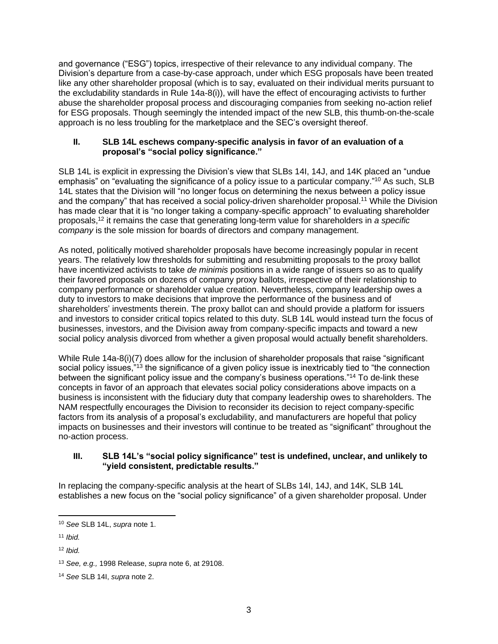and governance ("ESG") topics, irrespective of their relevance to any individual company. The Division's departure from a case-by-case approach, under which ESG proposals have been treated like any other shareholder proposal (which is to say, evaluated on their individual merits pursuant to the excludability standards in Rule 14a-8(i)), will have the effect of encouraging activists to further abuse the shareholder proposal process and discouraging companies from seeking no-action relief for ESG proposals. Though seemingly the intended impact of the new SLB, this thumb-on-the-scale approach is no less troubling for the marketplace and the SEC's oversight thereof.

## **II. SLB 14L eschews company-specific analysis in favor of an evaluation of a proposal's "social policy significance."**

SLB 14L is explicit in expressing the Division's view that SLBs 14I, 14J, and 14K placed an "undue emphasis" on "evaluating the significance of a policy issue to a particular company."<sup>10</sup> As such, SLB 14L states that the Division will "no longer focus on determining the nexus between a policy issue and the company" that has received a social policy-driven shareholder proposal.<sup>11</sup> While the Division has made clear that it is "no longer taking a company-specific approach" to evaluating shareholder proposals,<sup>12</sup> it remains the case that generating long-term value for shareholders in *a specific company* is the sole mission for boards of directors and company management.

As noted, politically motived shareholder proposals have become increasingly popular in recent years. The relatively low thresholds for submitting and resubmitting proposals to the proxy ballot have incentivized activists to take *de minimis* positions in a wide range of issuers so as to qualify their favored proposals on dozens of company proxy ballots, irrespective of their relationship to company performance or shareholder value creation. Nevertheless, company leadership owes a duty to investors to make decisions that improve the performance of the business and of shareholders' investments therein. The proxy ballot can and should provide a platform for issuers and investors to consider critical topics related to this duty. SLB 14L would instead turn the focus of businesses, investors, and the Division away from company-specific impacts and toward a new social policy analysis divorced from whether a given proposal would actually benefit shareholders.

While Rule 14a-8(i)(7) does allow for the inclusion of shareholder proposals that raise "significant social policy issues,"<sup>13</sup> the significance of a given policy issue is inextricably tied to "the connection between the significant policy issue and the company's business operations."<sup>14</sup> To de-link these concepts in favor of an approach that elevates social policy considerations above impacts on a business is inconsistent with the fiduciary duty that company leadership owes to shareholders. The NAM respectfully encourages the Division to reconsider its decision to reject company-specific factors from its analysis of a proposal's excludability, and manufacturers are hopeful that policy impacts on businesses and their investors will continue to be treated as "significant" throughout the no-action process.

## **III. SLB 14L's "social policy significance" test is undefined, unclear, and unlikely to "yield consistent, predictable results."**

In replacing the company-specific analysis at the heart of SLBs 14I, 14J, and 14K, SLB 14L establishes a new focus on the "social policy significance" of a given shareholder proposal. Under

<sup>10</sup> *See* SLB 14L, *supra* note 1.

<sup>11</sup> *Ibid.*

<sup>12</sup> *Ibid.*

<sup>13</sup> *See, e.g.,* 1998 Release, *supra* note 6, at 29108.

<sup>14</sup> *See* SLB 14I, *supra* note 2.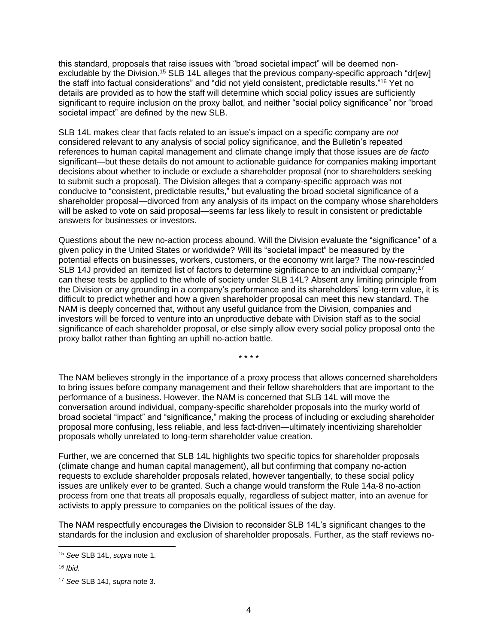this standard, proposals that raise issues with "broad societal impact" will be deemed nonexcludable by the Division.<sup>15</sup> SLB 14L alleges that the previous company-specific approach "dr[ew] the staff into factual considerations" and "did not yield consistent, predictable results."<sup>16</sup> Yet no details are provided as to how the staff will determine which social policy issues are sufficiently significant to require inclusion on the proxy ballot, and neither "social policy significance" nor "broad societal impact" are defined by the new SLB.

SLB 14L makes clear that facts related to an issue's impact on a specific company are *not* considered relevant to any analysis of social policy significance, and the Bulletin's repeated references to human capital management and climate change imply that those issues are *de facto* significant—but these details do not amount to actionable guidance for companies making important decisions about whether to include or exclude a shareholder proposal (nor to shareholders seeking to submit such a proposal). The Division alleges that a company-specific approach was not conducive to "consistent, predictable results," but evaluating the broad societal significance of a shareholder proposal—divorced from any analysis of its impact on the company whose shareholders will be asked to vote on said proposal—seems far less likely to result in consistent or predictable answers for businesses or investors.

Questions about the new no-action process abound. Will the Division evaluate the "significance" of a given policy in the United States or worldwide? Will its "societal impact" be measured by the potential effects on businesses, workers, customers, or the economy writ large? The now-rescinded SLB 14J provided an itemized list of factors to determine significance to an individual company;<sup>17</sup> can these tests be applied to the whole of society under SLB 14L? Absent any limiting principle from the Division or any grounding in a company's performance and its shareholders' long-term value, it is difficult to predict whether and how a given shareholder proposal can meet this new standard. The NAM is deeply concerned that, without any useful guidance from the Division, companies and investors will be forced to venture into an unproductive debate with Division staff as to the social significance of each shareholder proposal, or else simply allow every social policy proposal onto the proxy ballot rather than fighting an uphill no-action battle.

\* \* \* \*

The NAM believes strongly in the importance of a proxy process that allows concerned shareholders to bring issues before company management and their fellow shareholders that are important to the performance of a business. However, the NAM is concerned that SLB 14L will move the conversation around individual, company-specific shareholder proposals into the murky world of broad societal "impact" and "significance," making the process of including or excluding shareholder proposal more confusing, less reliable, and less fact-driven—ultimately incentivizing shareholder proposals wholly unrelated to long-term shareholder value creation.

Further, we are concerned that SLB 14L highlights two specific topics for shareholder proposals (climate change and human capital management), all but confirming that company no-action requests to exclude shareholder proposals related, however tangentially, to these social policy issues are unlikely ever to be granted. Such a change would transform the Rule 14a-8 no-action process from one that treats all proposals equally, regardless of subject matter, into an avenue for activists to apply pressure to companies on the political issues of the day.

The NAM respectfully encourages the Division to reconsider SLB 14L's significant changes to the standards for the inclusion and exclusion of shareholder proposals. Further, as the staff reviews no-

<sup>15</sup> *See* SLB 14L, *supra* note 1.

<sup>16</sup> *Ibid.*

<sup>17</sup> *See* SLB 14J, *supra* note 3.